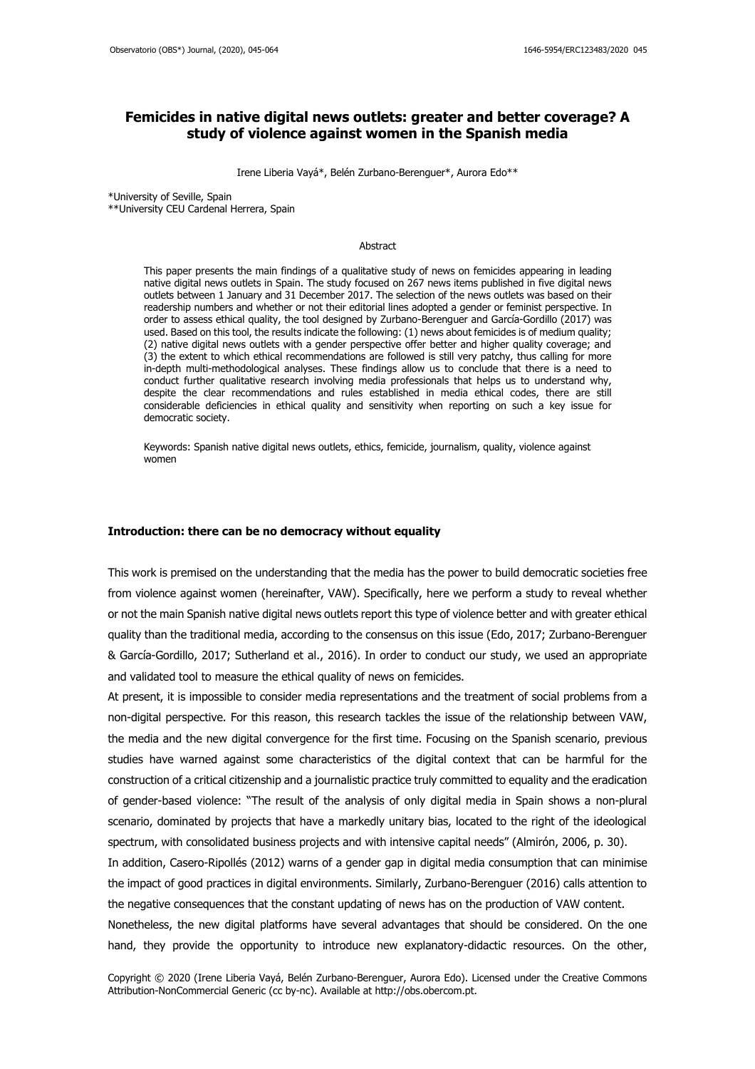# **Femicides in native digital news outlets: greater and better coverage? A study of violence against women in the Spanish media**

Irene Liberia Vayá\*, Belén Zurbano-Berenguer\*, Aurora Edo\*\*

\*University of Seville, Spain

\*\*University CEU Cardenal Herrera, Spain

#### Abstract

This paper presents the main findings of a qualitative study of news on femicides appearing in leading native digital news outlets in Spain. The study focused on 267 news items published in five digital news outlets between 1 January and 31 December 2017. The selection of the news outlets was based on their readership numbers and whether or not their editorial lines adopted a gender or feminist perspective. In order to assess ethical quality, the tool designed by Zurbano-Berenguer and García-Gordillo (2017) was used. Based on this tool, the results indicate the following: (1) news about femicides is of medium quality; (2) native digital news outlets with a gender perspective offer better and higher quality coverage; and (3) the extent to which ethical recommendations are followed is still very patchy, thus calling for more in-depth multi-methodological analyses. These findings allow us to conclude that there is a need to conduct further qualitative research involving media professionals that helps us to understand why, despite the clear recommendations and rules established in media ethical codes, there are still considerable deficiencies in ethical quality and sensitivity when reporting on such a key issue for democratic society.

Keywords: Spanish native digital news outlets, ethics, femicide, journalism, quality, violence against women

## **Introduction: there can be no democracy without equality**

This work is premised on the understanding that the media has the power to build democratic societies free from violence against women (hereinafter, VAW). Specifically, here we perform a study to reveal whether or not the main Spanish native digital news outlets report this type of violence better and with greater ethical quality than the traditional media, according to the consensus on this issue (Edo, 2017; Zurbano-Berenguer & García-Gordillo, 2017; Sutherland et al., 2016). In order to conduct our study, we used an appropriate and validated tool to measure the ethical quality of news on femicides.

At present, it is impossible to consider media representations and the treatment of social problems from a non-digital perspective. For this reason, this research tackles the issue of the relationship between VAW, the media and the new digital convergence for the first time. Focusing on the Spanish scenario, previous studies have warned against some characteristics of the digital context that can be harmful for the construction of a critical citizenship and a journalistic practice truly committed to equality and the eradication of gender-based violence: "The result of the analysis of only digital media in Spain shows a non-plural scenario, dominated by projects that have a markedly unitary bias, located to the right of the ideological spectrum, with consolidated business projects and with intensive capital needs" (Almirón, 2006, p. 30).

In addition, Casero-Ripollés (2012) warns of a gender gap in digital media consumption that can minimise the impact of good practices in digital environments. Similarly, Zurbano-Berenguer (2016) calls attention to the negative consequences that the constant updating of news has on the production of VAW content.

Nonetheless, the new digital platforms have several advantages that should be considered. On the one hand, they provide the opportunity to introduce new explanatory-didactic resources. On the other,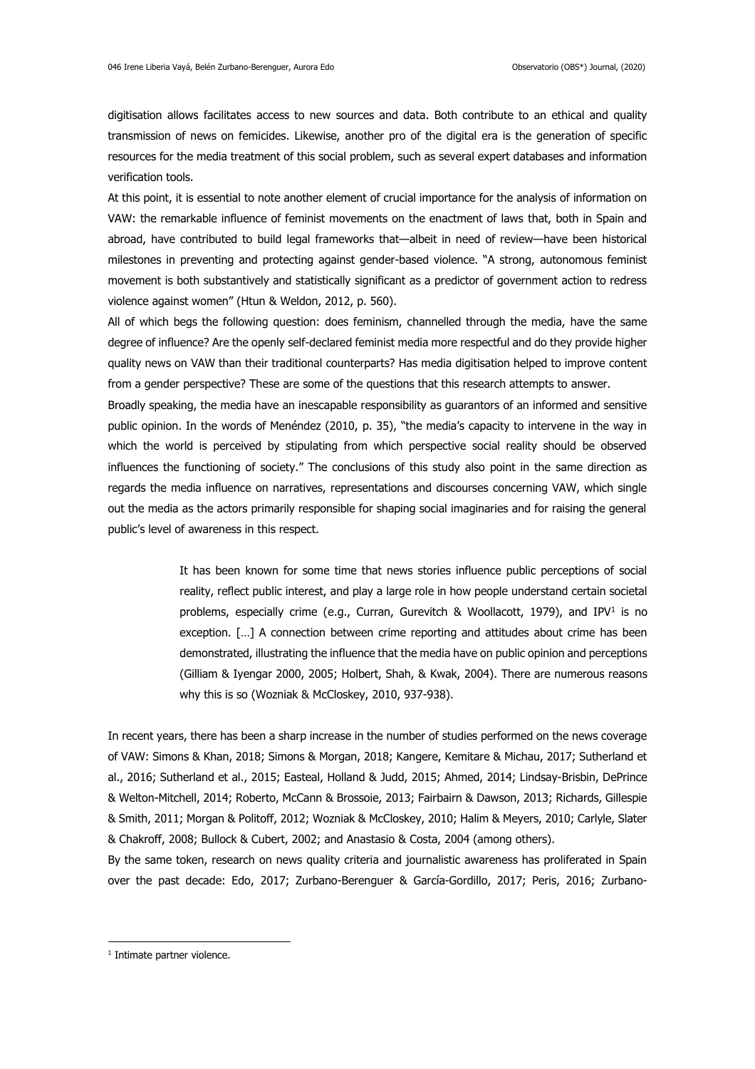digitisation allows facilitates access to new sources and data. Both contribute to an ethical and quality transmission of news on femicides. Likewise, another pro of the digital era is the generation of specific resources for the media treatment of this social problem, such as several expert databases and information verification tools.

At this point, it is essential to note another element of crucial importance for the analysis of information on VAW: the remarkable influence of feminist movements on the enactment of laws that, both in Spain and abroad, have contributed to build legal frameworks that—albeit in need of review—have been historical milestones in preventing and protecting against gender-based violence. "A strong, autonomous feminist movement is both substantively and statistically significant as a predictor of government action to redress violence against women" (Htun & Weldon, 2012, p. 560).

All of which begs the following question: does feminism, channelled through the media, have the same degree of influence? Are the openly self-declared feminist media more respectful and do they provide higher quality news on VAW than their traditional counterparts? Has media digitisation helped to improve content from a gender perspective? These are some of the questions that this research attempts to answer.

Broadly speaking, the media have an inescapable responsibility as guarantors of an informed and sensitive public opinion. In the words of Menéndez (2010, p. 35), "the media's capacity to intervene in the way in which the world is perceived by stipulating from which perspective social reality should be observed influences the functioning of society." The conclusions of this study also point in the same direction as regards the media influence on narratives, representations and discourses concerning VAW, which single out the media as the actors primarily responsible for shaping social imaginaries and for raising the general public's level of awareness in this respect.

> It has been known for some time that news stories influence public perceptions of social reality, reflect public interest, and play a large role in how people understand certain societal problems, especially crime (e.g., Curran, Gurevitch & Woollacott, 1979), and IPV<sup>1</sup> is no exception. […] A connection between crime reporting and attitudes about crime has been demonstrated, illustrating the influence that the media have on public opinion and perceptions (Gilliam & Iyengar 2000, 2005; Holbert, Shah, & Kwak, 2004). There are numerous reasons why this is so (Wozniak & McCloskey, 2010, 937-938).

In recent years, there has been a sharp increase in the number of studies performed on the news coverage of VAW: Simons & Khan, 2018; Simons & Morgan, 2018; Kangere, Kemitare & Michau, 2017; Sutherland et al., 2016; Sutherland et al., 2015; Easteal, Holland & Judd, 2015; Ahmed, 2014; Lindsay-Brisbin, DePrince & Welton-Mitchell, 2014; Roberto, McCann & Brossoie, 2013; Fairbairn & Dawson, 2013; Richards, Gillespie & Smith, 2011; Morgan & Politoff, 2012; Wozniak & McCloskey, 2010; Halim & Meyers, 2010; Carlyle, Slater & Chakroff, 2008; Bullock & Cubert, 2002; and Anastasio & Costa, 2004 (among others).

By the same token, research on news quality criteria and journalistic awareness has proliferated in Spain over the past decade: Edo, 2017; Zurbano-Berenguer & García-Gordillo, 2017; Peris, 2016; Zurbano-

1

<sup>&</sup>lt;sup>1</sup> Intimate partner violence.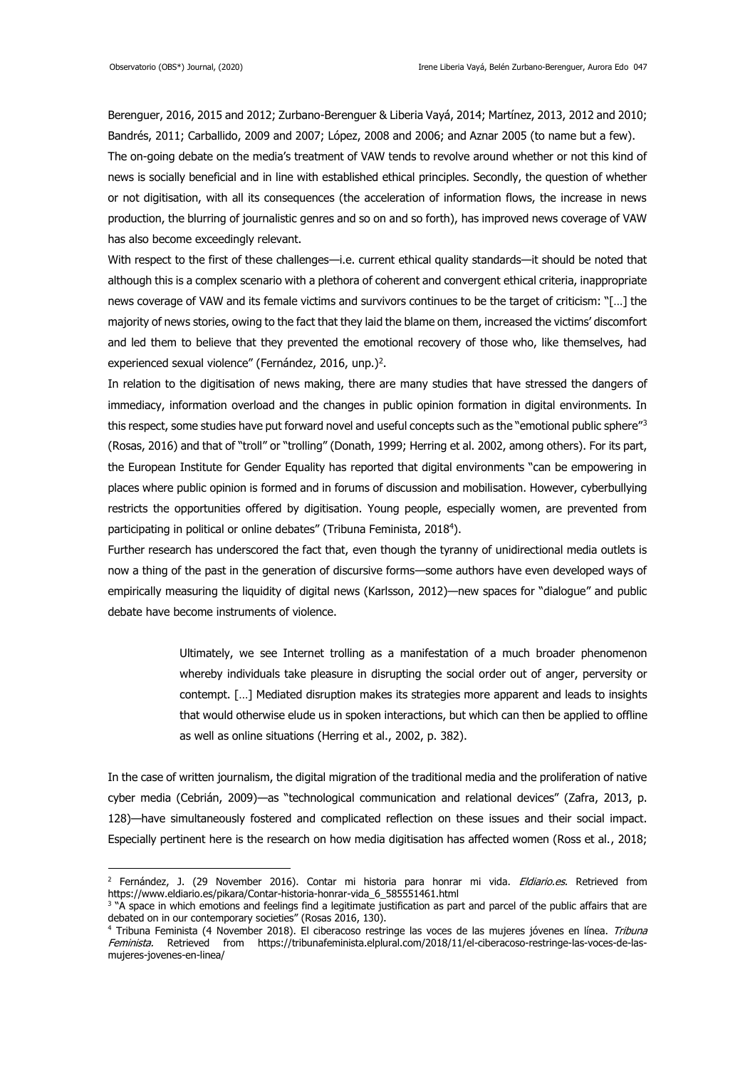-

Berenguer, 2016, 2015 and 2012; Zurbano-Berenguer & Liberia Vayá, 2014; Martínez, 2013, 2012 and 2010; Bandrés, 2011; Carballido, 2009 and 2007; López, 2008 and 2006; and Aznar 2005 (to name but a few). The on-going debate on the media's treatment of VAW tends to revolve around whether or not this kind of news is socially beneficial and in line with established ethical principles. Secondly, the question of whether or not digitisation, with all its consequences (the acceleration of information flows, the increase in news production, the blurring of journalistic genres and so on and so forth), has improved news coverage of VAW has also become exceedingly relevant.

With respect to the first of these challenges—i.e. current ethical quality standards—it should be noted that although this is a complex scenario with a plethora of coherent and convergent ethical criteria, inappropriate news coverage of VAW and its female victims and survivors continues to be the target of criticism: "[…] the majority of news stories, owing to the fact that they laid the blame on them, increased the victims' discomfort and led them to believe that they prevented the emotional recovery of those who, like themselves, had experienced sexual violence" (Fernández, 2016, unp.)<sup>2</sup>.

In relation to the digitisation of news making, there are many studies that have stressed the dangers of immediacy, information overload and the changes in public opinion formation in digital environments. In this respect, some studies have put forward novel and useful concepts such as the "emotional public sphere"<sup>3</sup> (Rosas, 2016) and that of "troll" or "trolling" (Donath, 1999; Herring et al. 2002, among others). For its part, the European Institute for Gender Equality has reported that digital environments "can be empowering in places where public opinion is formed and in forums of discussion and mobilisation. However, cyberbullying restricts the opportunities offered by digitisation. Young people, especially women, are prevented from participating in political or online debates" (Tribuna Feminista, 2018<sup>4</sup> ).

Further research has underscored the fact that, even though the tyranny of unidirectional media outlets is now a thing of the past in the generation of discursive forms—some authors have even developed ways of empirically measuring the liquidity of digital news (Karlsson, 2012)—new spaces for "dialogue" and public debate have become instruments of violence.

> Ultimately, we see Internet trolling as a manifestation of a much broader phenomenon whereby individuals take pleasure in disrupting the social order out of anger, perversity or contempt. […] Mediated disruption makes its strategies more apparent and leads to insights that would otherwise elude us in spoken interactions, but which can then be applied to offline as well as online situations (Herring et al., 2002, p. 382).

In the case of written journalism, the digital migration of the traditional media and the proliferation of native cyber media (Cebrián, 2009)—as "technological communication and relational devices" (Zafra, 2013, p. 128)—have simultaneously fostered and complicated reflection on these issues and their social impact. Especially pertinent here is the research on how media digitisation has affected women (Ross et al., 2018;

<sup>&</sup>lt;sup>2</sup> Fernández, J. (29 November 2016). Contar mi historia para honrar mi vida. *Eldiario.es.* Retrieved from [https://www.eldiario.es/pikara/Contar-historia-honrar-vida\\_6\\_585551461.html](https://www.eldiario.es/pikara/Contar-historia-honrar-vida_6_585551461.html)

<sup>&</sup>lt;sup>3</sup> "A space in which emotions and feelings find a legitimate justification as part and parcel of the public affairs that are debated on in our contemporary societies" (Rosas 2016, 130).

<sup>&</sup>lt;sup>4</sup> Tribuna Feminista (4 November 2018). El ciberacoso restringe las voces de las mujeres jóvenes en línea. Tribuna Feminista. Retrieved from [https://tribunafeminista.elplural.com/2018/11/el-ciberacoso-restringe-las-voces-de-las](https://tribunafeminista.elplural.com/2018/11/el-ciberacoso-restringe-las-voces-de-las-mujeres-jovenes-en-linea/)[mujeres-jovenes-en-linea/](https://tribunafeminista.elplural.com/2018/11/el-ciberacoso-restringe-las-voces-de-las-mujeres-jovenes-en-linea/)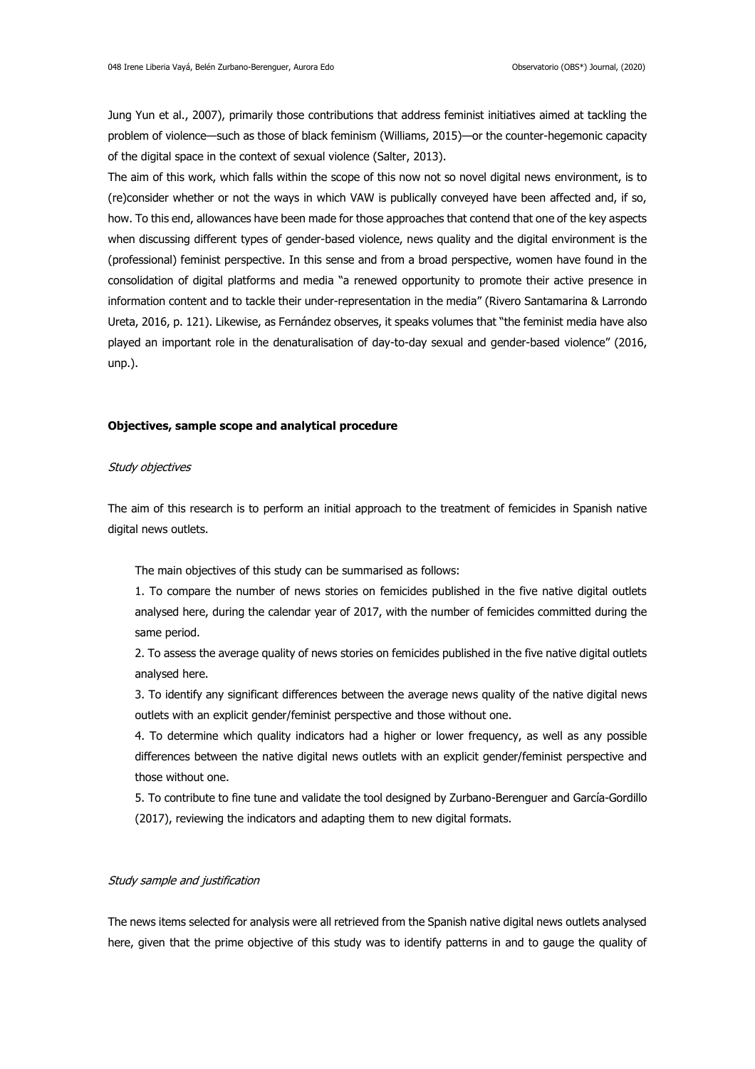Jung Yun et al., 2007), primarily those contributions that address feminist initiatives aimed at tackling the problem of violence—such as those of black feminism (Williams, 2015)—or the counter-hegemonic capacity of the digital space in the context of sexual violence (Salter, 2013).

The aim of this work, which falls within the scope of this now not so novel digital news environment, is to (re)consider whether or not the ways in which VAW is publically conveyed have been affected and, if so, how. To this end, allowances have been made for those approaches that contend that one of the key aspects when discussing different types of gender-based violence, news quality and the digital environment is the (professional) feminist perspective. In this sense and from a broad perspective, women have found in the consolidation of digital platforms and media "a renewed opportunity to promote their active presence in information content and to tackle their under-representation in the media" (Rivero Santamarina & Larrondo Ureta, 2016, p. 121). Likewise, as Fernández observes, it speaks volumes that "the feminist media have also played an important role in the denaturalisation of day-to-day sexual and gender-based violence" (2016, unp.).

#### **Objectives, sample scope and analytical procedure**

## Study objectives

The aim of this research is to perform an initial approach to the treatment of femicides in Spanish native digital news outlets.

The main objectives of this study can be summarised as follows:

1. To compare the number of news stories on femicides published in the five native digital outlets analysed here, during the calendar year of 2017, with the number of femicides committed during the same period.

2. To assess the average quality of news stories on femicides published in the five native digital outlets analysed here.

3. To identify any significant differences between the average news quality of the native digital news outlets with an explicit gender/feminist perspective and those without one.

4. To determine which quality indicators had a higher or lower frequency, as well as any possible differences between the native digital news outlets with an explicit gender/feminist perspective and those without one.

5. To contribute to fine tune and validate the tool designed by Zurbano-Berenguer and García-Gordillo (2017), reviewing the indicators and adapting them to new digital formats.

## Study sample and justification

The news items selected for analysis were all retrieved from the Spanish native digital news outlets analysed here, given that the prime objective of this study was to identify patterns in and to gauge the quality of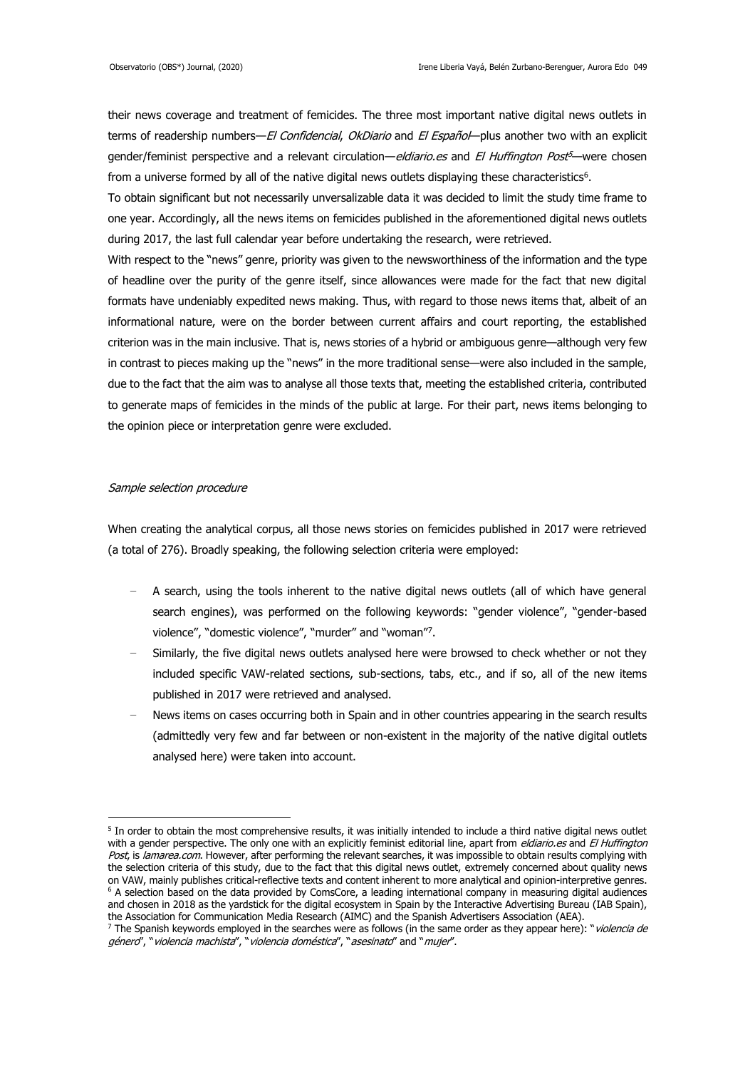their news coverage and treatment of femicides. The three most important native digital news outlets in terms of readership numbers—El Confidencial, OkDiario and El Español—plus another two with an explicit gender/feminist perspective and a relevant circulation—*eldiario.es* and *El Huffington Post<sup>3</sup>—*were chosen from a universe formed by all of the native digital news outlets displaying these characteristics<sup>6</sup>.

To obtain significant but not necessarily unversalizable data it was decided to limit the study time frame to one year. Accordingly, all the news items on femicides published in the aforementioned digital news outlets during 2017, the last full calendar year before undertaking the research, were retrieved.

With respect to the "news" genre, priority was given to the newsworthiness of the information and the type of headline over the purity of the genre itself, since allowances were made for the fact that new digital formats have undeniably expedited news making. Thus, with regard to those news items that, albeit of an informational nature, were on the border between current affairs and court reporting, the established criterion was in the main inclusive. That is, news stories of a hybrid or ambiguous genre—although very few in contrast to pieces making up the "news" in the more traditional sense—were also included in the sample, due to the fact that the aim was to analyse all those texts that, meeting the established criteria, contributed to generate maps of femicides in the minds of the public at large. For their part, news items belonging to the opinion piece or interpretation genre were excluded.

## Sample selection procedure

When creating the analytical corpus, all those news stories on femicides published in 2017 were retrieved (a total of 276). Broadly speaking, the following selection criteria were employed:

- A search, using the tools inherent to the native digital news outlets (all of which have general search engines), was performed on the following keywords: "gender violence", "gender-based violence", "domestic violence", "murder" and "woman"<sup>7</sup> .
- Similarly, the five digital news outlets analysed here were browsed to check whether or not they included specific VAW-related sections, sub-sections, tabs, etc., and if so, all of the new items published in 2017 were retrieved and analysed.
- News items on cases occurring both in Spain and in other countries appearing in the search results (admittedly very few and far between or non-existent in the majority of the native digital outlets analysed here) were taken into account.

<sup>-</sup><sup>5</sup> In order to obtain the most comprehensive results, it was initially intended to include a third native digital news outlet with a gender perspective. The only one with an explicitly feminist editorial line, apart from *eldiario.es* and El Huffington Post, is lamarea.com. However, after performing the relevant searches, it was impossible to obtain results complying with the selection criteria of this study, due to the fact that this digital news outlet, extremely concerned about quality news on VAW, mainly publishes critical-reflective texts and content inherent to more analytical and opinion-interpretive genres. <sup>6</sup> A selection based on the data provided by ComsCore, a leading international company in measuring digital audiences and chosen in 2018 as the yardstick for the digital ecosystem in Spain by the Interactive Advertising Bureau (IAB Spain), the Association for Communication Media Research (AIMC) and the Spanish Advertisers Association (AEA).

<sup>&</sup>lt;sup>7</sup> The Spanish keywords employed in the searches were as follows (in the same order as they appear here): "*violencia de* género", "violencia machista", "violencia doméstica", "asesinato" and "mujer".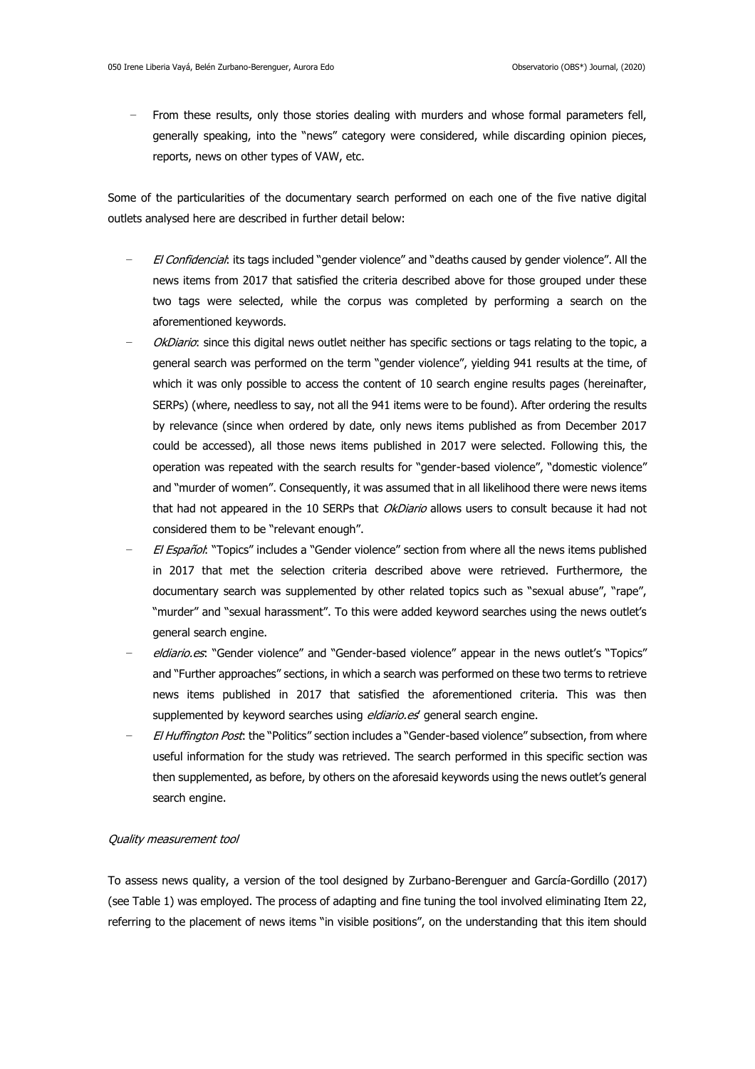From these results, only those stories dealing with murders and whose formal parameters fell, generally speaking, into the "news" category were considered, while discarding opinion pieces, reports, news on other types of VAW, etc.

Some of the particularities of the documentary search performed on each one of the five native digital outlets analysed here are described in further detail below:

- El Confidencial: its tags included "gender violence" and "deaths caused by gender violence". All the news items from 2017 that satisfied the criteria described above for those grouped under these two tags were selected, while the corpus was completed by performing a search on the aforementioned keywords.
- OkDiario: since this digital news outlet neither has specific sections or tags relating to the topic, a general search was performed on the term "gender violence", yielding 941 results at the time, of which it was only possible to access the content of 10 search engine results pages (hereinafter, SERPs) (where, needless to say, not all the 941 items were to be found). After ordering the results by relevance (since when ordered by date, only news items published as from December 2017 could be accessed), all those news items published in 2017 were selected. Following this, the operation was repeated with the search results for "gender-based violence", "domestic violence" and "murder of women". Consequently, it was assumed that in all likelihood there were news items that had not appeared in the 10 SERPs that *OkDiario* allows users to consult because it had not considered them to be "relevant enough".
- El Español: "Topics" includes a "Gender violence" section from where all the news items published in 2017 that met the selection criteria described above were retrieved. Furthermore, the documentary search was supplemented by other related topics such as "sexual abuse", "rape", "murder" and "sexual harassment". To this were added keyword searches using the news outlet's general search engine.
- eldiario.es: "Gender violence" and "Gender-based violence" appear in the news outlet's "Topics" and "Further approaches" sections, in which a search was performed on these two terms to retrieve news items published in 2017 that satisfied the aforementioned criteria. This was then supplemented by keyword searches using eldiario.es' general search engine.
- El Huffington Post: the "Politics" section includes a "Gender-based violence" subsection, from where useful information for the study was retrieved. The search performed in this specific section was then supplemented, as before, by others on the aforesaid keywords using the news outlet's general search engine.

### Quality measurement tool

To assess news quality, a version of the tool designed by Zurbano-Berenguer and García-Gordillo (2017) (see Table 1) was employed. The process of adapting and fine tuning the tool involved eliminating Item 22, referring to the placement of news items "in visible positions", on the understanding that this item should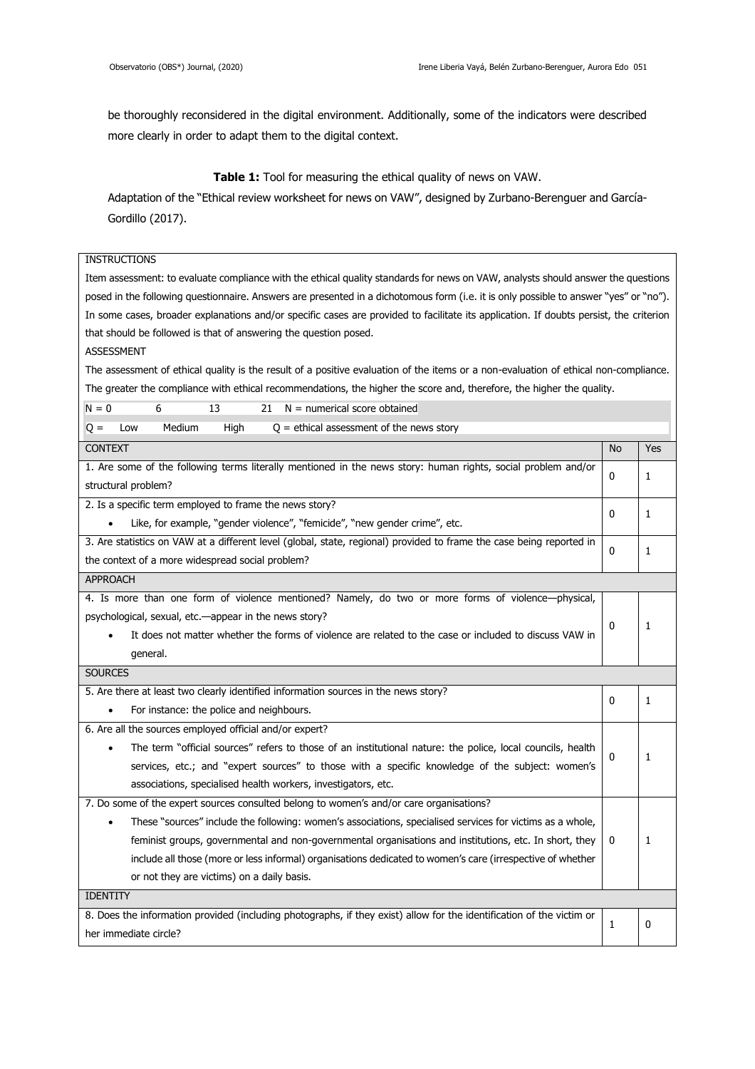be thoroughly reconsidered in the digital environment. Additionally, some of the indicators were described more clearly in order to adapt them to the digital context.

## **Table 1:** Tool for measuring the ethical quality of news on VAW.

Adaptation of the "Ethical review worksheet for news on VAW", designed by Zurbano-Berenguer and García-Gordillo (2017).

| <b>INSTRUCTIONS</b>                                                                                                                    |           |     |  |  |  |
|----------------------------------------------------------------------------------------------------------------------------------------|-----------|-----|--|--|--|
| Item assessment: to evaluate compliance with the ethical quality standards for news on VAW, analysts should answer the questions       |           |     |  |  |  |
| posed in the following questionnaire. Answers are presented in a dichotomous form (i.e. it is only possible to answer "yes" or "no").  |           |     |  |  |  |
| In some cases, broader explanations and/or specific cases are provided to facilitate its application. If doubts persist, the criterion |           |     |  |  |  |
| that should be followed is that of answering the question posed.                                                                       |           |     |  |  |  |
| <b>ASSESSMENT</b>                                                                                                                      |           |     |  |  |  |
| The assessment of ethical quality is the result of a positive evaluation of the items or a non-evaluation of ethical non-compliance.   |           |     |  |  |  |
| The greater the compliance with ethical recommendations, the higher the score and, therefore, the higher the quality.                  |           |     |  |  |  |
| $N = 0$<br>6<br>$N =$ numerical score obtained<br>13<br>21                                                                             |           |     |  |  |  |
| Medium<br>$Q =$ ethical assessment of the news story<br>High<br>$Q =$<br>Low                                                           |           |     |  |  |  |
| <b>CONTEXT</b>                                                                                                                         | <b>No</b> | Yes |  |  |  |
| 1. Are some of the following terms literally mentioned in the news story: human rights, social problem and/or                          |           |     |  |  |  |
| structural problem?                                                                                                                    | 0         | 1   |  |  |  |
| 2. Is a specific term employed to frame the news story?                                                                                |           |     |  |  |  |
| Like, for example, "gender violence", "femicide", "new gender crime", etc.                                                             | 0         | 1   |  |  |  |
| 3. Are statistics on VAW at a different level (global, state, regional) provided to frame the case being reported in                   |           |     |  |  |  |
| the context of a more widespread social problem?                                                                                       | 0         | 1   |  |  |  |
| <b>APPROACH</b>                                                                                                                        |           |     |  |  |  |
| 4. Is more than one form of violence mentioned? Namely, do two or more forms of violence-physical,                                     |           |     |  |  |  |
| psychological, sexual, etc.—appear in the news story?                                                                                  | 0         |     |  |  |  |
| It does not matter whether the forms of violence are related to the case or included to discuss VAW in                                 |           | 1   |  |  |  |
| general.                                                                                                                               |           |     |  |  |  |
| <b>SOURCES</b>                                                                                                                         |           |     |  |  |  |
| 5. Are there at least two clearly identified information sources in the news story?                                                    | 0         | 1   |  |  |  |
| For instance: the police and neighbours.<br>$\bullet$                                                                                  |           |     |  |  |  |
| 6. Are all the sources employed official and/or expert?                                                                                |           |     |  |  |  |
| The term "official sources" refers to those of an institutional nature: the police, local councils, health<br>0<br>1                   |           |     |  |  |  |
| services, etc.; and "expert sources" to those with a specific knowledge of the subject: women's                                        |           |     |  |  |  |
| associations, specialised health workers, investigators, etc.                                                                          |           |     |  |  |  |
| 7. Do some of the expert sources consulted belong to women's and/or care organisations?                                                |           |     |  |  |  |
| These "sources" include the following: women's associations, specialised services for victims as a whole,                              |           |     |  |  |  |
| feminist groups, governmental and non-governmental organisations and institutions, etc. In short, they                                 |           |     |  |  |  |
| include all those (more or less informal) organisations dedicated to women's care (irrespective of whether                             |           |     |  |  |  |
| or not they are victims) on a daily basis.                                                                                             |           |     |  |  |  |
| <b>IDENTITY</b>                                                                                                                        |           |     |  |  |  |
| 8. Does the information provided (including photographs, if they exist) allow for the identification of the victim or                  | 1         | 0   |  |  |  |
| her immediate circle?                                                                                                                  |           |     |  |  |  |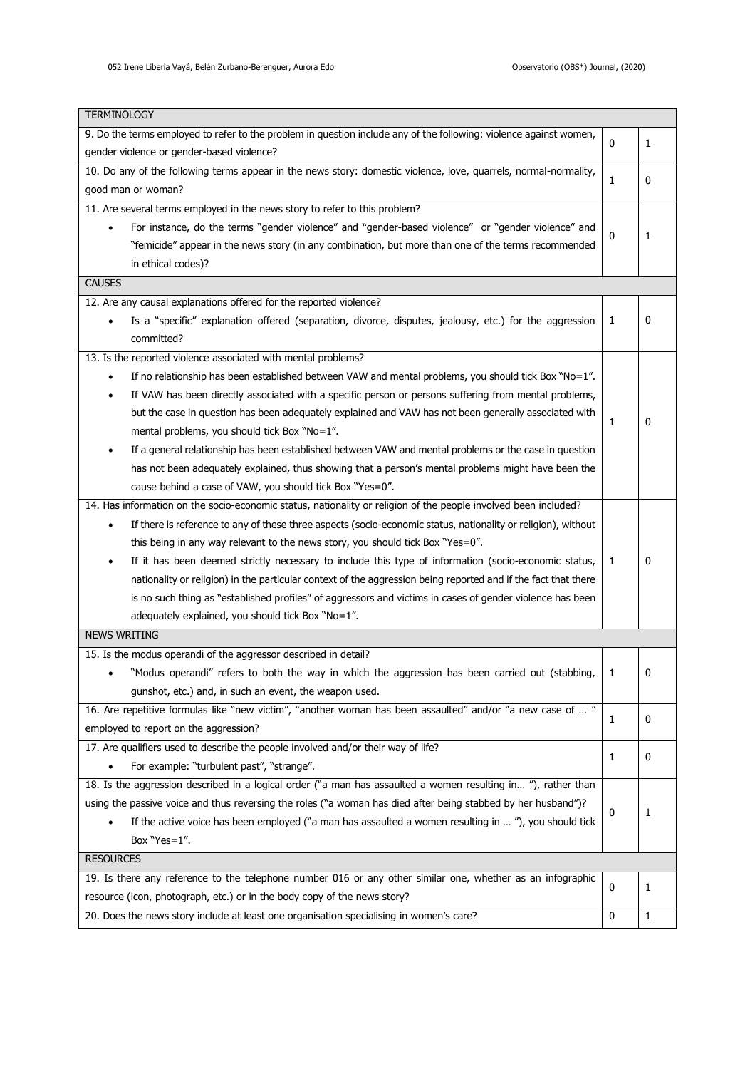$\blacksquare$ 

| TERMINOLOGY                                                                                                        |              |   |  |
|--------------------------------------------------------------------------------------------------------------------|--------------|---|--|
| 9. Do the terms employed to refer to the problem in question include any of the following: violence against women, | $\mathbf{0}$ | 1 |  |
| gender violence or gender-based violence?                                                                          |              |   |  |
| 10. Do any of the following terms appear in the news story: domestic violence, love, quarrels, normal-normality,   |              |   |  |
| good man or woman?                                                                                                 | 1            | 0 |  |
| 11. Are several terms employed in the news story to refer to this problem?                                         |              |   |  |
| For instance, do the terms "gender violence" and "gender-based violence" or "gender violence" and                  | $\mathbf{0}$ |   |  |
| "femicide" appear in the news story (in any combination, but more than one of the terms recommended                |              | 1 |  |
| in ethical codes)?                                                                                                 |              |   |  |
| <b>CAUSES</b>                                                                                                      |              |   |  |
| 12. Are any causal explanations offered for the reported violence?                                                 |              |   |  |
| Is a "specific" explanation offered (separation, divorce, disputes, jealousy, etc.) for the aggression             | 1            | 0 |  |
| committed?                                                                                                         |              |   |  |
| 13. Is the reported violence associated with mental problems?                                                      |              |   |  |
| If no relationship has been established between VAW and mental problems, you should tick Box "No=1".<br>$\bullet$  |              |   |  |
| If VAW has been directly associated with a specific person or persons suffering from mental problems,              |              |   |  |
| but the case in question has been adequately explained and VAW has not been generally associated with              |              |   |  |
| mental problems, you should tick Box "No=1".                                                                       | 1            | 0 |  |
| If a general relationship has been established between VAW and mental problems or the case in question<br>٠        |              |   |  |
| has not been adequately explained, thus showing that a person's mental problems might have been the                |              |   |  |
| cause behind a case of VAW, you should tick Box "Yes=0".                                                           |              |   |  |
| 14. Has information on the socio-economic status, nationality or religion of the people involved been included?    |              |   |  |
|                                                                                                                    |              |   |  |
| If there is reference to any of these three aspects (socio-economic status, nationality or religion), without<br>٠ |              |   |  |
| this being in any way relevant to the news story, you should tick Box "Yes=0".                                     |              |   |  |
| If it has been deemed strictly necessary to include this type of information (socio-economic status,               | 1            | 0 |  |
| nationality or religion) in the particular context of the aggression being reported and if the fact that there     |              |   |  |
| is no such thing as "established profiles" of aggressors and victims in cases of gender violence has been          |              |   |  |
| adequately explained, you should tick Box "No=1".                                                                  |              |   |  |
| <b>NEWS WRITING</b>                                                                                                |              |   |  |
| 15. Is the modus operandi of the aggressor described in detail?                                                    |              |   |  |
| "Modus operandi" refers to both the way in which the aggression has been carried out (stabbing,<br>٠               | 1            | 0 |  |
| gunshot, etc.) and, in such an event, the weapon used.                                                             |              |   |  |
| 16. Are repetitive formulas like "new victim", "another woman has been assaulted" and/or "a new case of  "         | 1            | 0 |  |
| employed to report on the aggression?                                                                              |              |   |  |
| 17. Are qualifiers used to describe the people involved and/or their way of life?                                  | 1            | 0 |  |
| For example: "turbulent past", "strange".                                                                          |              |   |  |
| 18. Is the aggression described in a logical order ("a man has assaulted a women resulting in "), rather than      |              |   |  |
| using the passive voice and thus reversing the roles ("a woman has died after being stabbed by her husband")?      |              |   |  |
| If the active voice has been employed ("a man has assaulted a women resulting in  "), you should tick              | 0            | 1 |  |
| Box "Yes=1".                                                                                                       |              |   |  |
| <b>RESOURCES</b>                                                                                                   |              |   |  |
| 19. Is there any reference to the telephone number 016 or any other similar one, whether as an infographic         |              |   |  |
| resource (icon, photograph, etc.) or in the body copy of the news story?                                           | 0            | 1 |  |
| 20. Does the news story include at least one organisation specialising in women's care?                            | 0            | 1 |  |
|                                                                                                                    |              |   |  |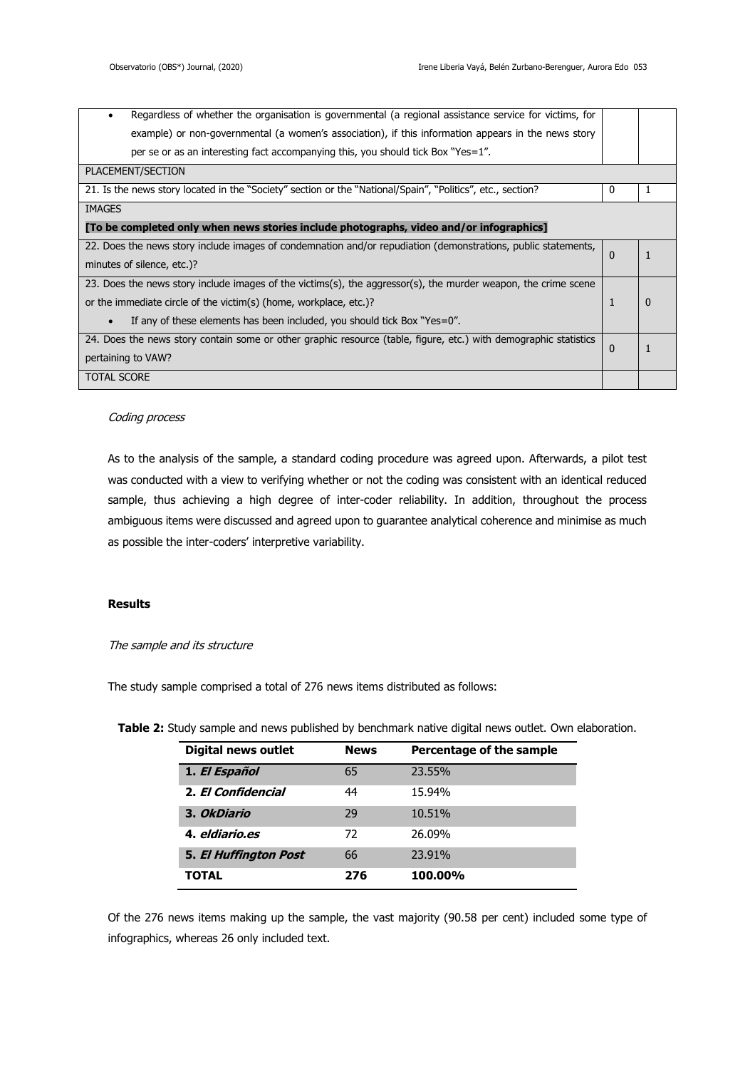| Regardless of whether the organisation is governmental (a regional assistance service for victims, for           |          |  |  |
|------------------------------------------------------------------------------------------------------------------|----------|--|--|
| example) or non-governmental (a women's association), if this information appears in the news story              |          |  |  |
| per se or as an interesting fact accompanying this, you should tick Box "Yes= $1$ ".                             |          |  |  |
| PLACEMENT/SECTION                                                                                                |          |  |  |
| 21. Is the news story located in the "Society" section or the "National/Spain", "Politics", etc., section?       |          |  |  |
| <b>IMAGES</b>                                                                                                    |          |  |  |
| [To be completed only when news stories include photographs, video and/or infographics]                          |          |  |  |
| 22. Does the news story include images of condemnation and/or repudiation (demonstrations, public statements,    | $\Omega$ |  |  |
| minutes of silence, etc.)?                                                                                       |          |  |  |
| 23. Does the news story include images of the victims(s), the aggressor(s), the murder weapon, the crime scene   |          |  |  |
| or the immediate circle of the victim(s) (home, workplace, etc.)?                                                |          |  |  |
| If any of these elements has been included, you should tick Box "Yes= $0$ ".                                     |          |  |  |
| 24. Does the news story contain some or other graphic resource (table, figure, etc.) with demographic statistics | $\Omega$ |  |  |
| pertaining to VAW?                                                                                               |          |  |  |
| <b>TOTAL SCORE</b>                                                                                               |          |  |  |

## Coding process

As to the analysis of the sample, a standard coding procedure was agreed upon. Afterwards, a pilot test was conducted with a view to verifying whether or not the coding was consistent with an identical reduced sample, thus achieving a high degree of inter-coder reliability. In addition, throughout the process ambiguous items were discussed and agreed upon to guarantee analytical coherence and minimise as much as possible the inter-coders' interpretive variability.

## **Results**

The sample and its structure

The study sample comprised a total of 276 news items distributed as follows:

**Table 2:** Study sample and news published by benchmark native digital news outlet. Own elaboration.

| <b>Digital news outlet</b>   | <b>News</b> | Percentage of the sample |
|------------------------------|-------------|--------------------------|
| 1. El Español                | 65          | 23.55%                   |
| 2. El Confidencial           | 44          | 15.94%                   |
| 3. OkDiario                  | 29          | 10.51%                   |
| 4. eldiario.es               | 72          | 26.09%                   |
| <b>5. El Huffington Post</b> | 66          | 23.91%                   |
| TOTAL                        | 276         | 100.00%                  |

Of the 276 news items making up the sample, the vast majority (90.58 per cent) included some type of infographics, whereas 26 only included text.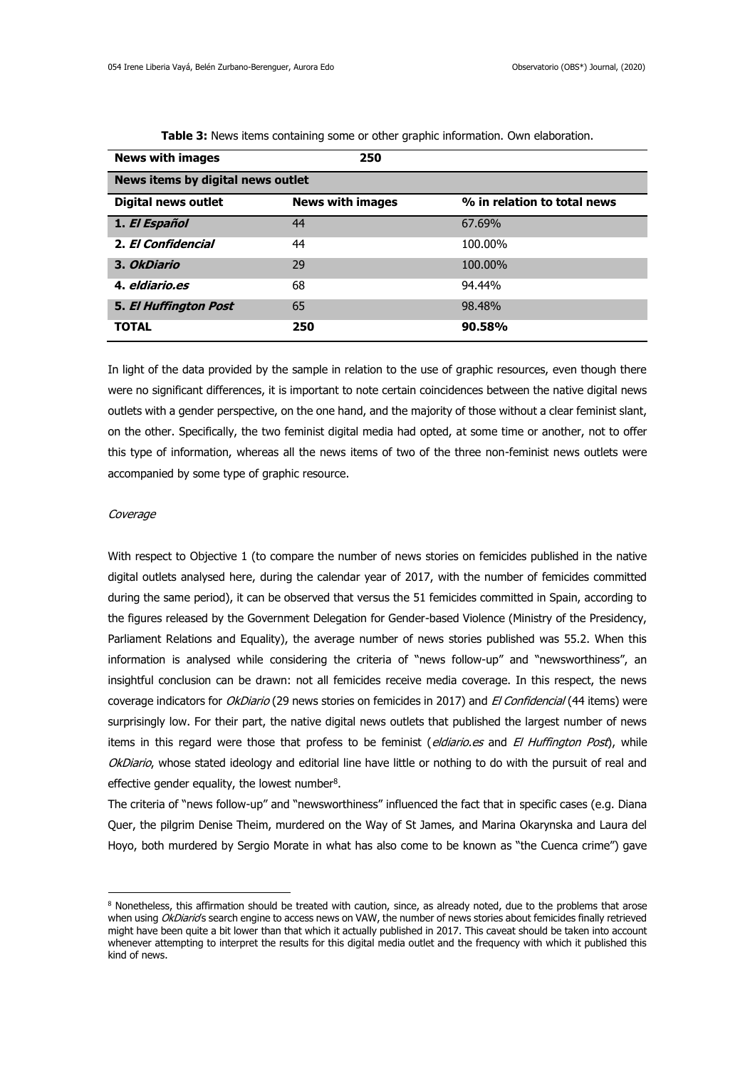| <b>News with images</b>           | 250                     |                             |  |  |
|-----------------------------------|-------------------------|-----------------------------|--|--|
| News items by digital news outlet |                         |                             |  |  |
| <b>Digital news outlet</b>        | <b>News with images</b> | % in relation to total news |  |  |
| 1. El Español                     | 44                      | 67.69%                      |  |  |
| 2. El Confidencial                | 44                      | 100.00%                     |  |  |
| 3. OkDiario                       | 29                      | 100.00%                     |  |  |
| 4. eldiario.es                    | 68                      | 94.44%                      |  |  |
| <b>5. El Huffington Post</b>      | 65                      | 98.48%                      |  |  |
| <b>TOTAL</b>                      | 250                     | 90.58%                      |  |  |

**Table 3:** News items containing some or other graphic information. Own elaboration.

In light of the data provided by the sample in relation to the use of graphic resources, even though there were no significant differences, it is important to note certain coincidences between the native digital news outlets with a gender perspective, on the one hand, and the majority of those without a clear feminist slant, on the other. Specifically, the two feminist digital media had opted, at some time or another, not to offer this type of information, whereas all the news items of two of the three non-feminist news outlets were accompanied by some type of graphic resource.

#### Coverage

1

With respect to Objective 1 (to compare the number of news stories on femicides published in the native digital outlets analysed here, during the calendar year of 2017, with the number of femicides committed during the same period), it can be observed that versus the 51 femicides committed in Spain, according to the figures released by the Government Delegation for Gender-based Violence (Ministry of the Presidency, Parliament Relations and Equality), the average number of news stories published was 55.2. When this information is analysed while considering the criteria of "news follow-up" and "newsworthiness", an insightful conclusion can be drawn: not all femicides receive media coverage. In this respect, the news coverage indicators for OkDiario (29 news stories on femicides in 2017) and El Confidencial (44 items) were surprisingly low. For their part, the native digital news outlets that published the largest number of news items in this regard were those that profess to be feminist (eldiario.es and El Huffington Post), while OkDiario, whose stated ideology and editorial line have little or nothing to do with the pursuit of real and effective gender equality, the lowest number $8$ .

The criteria of "news follow-up" and "newsworthiness" influenced the fact that in specific cases (e.g. Diana Quer, the pilgrim Denise Theim, murdered on the Way of St James, and Marina Okarynska and Laura del Hoyo, both murdered by Sergio Morate in what has also come to be known as "the Cuenca crime") gave

<sup>&</sup>lt;sup>8</sup> Nonetheless, this affirmation should be treated with caution, since, as already noted, due to the problems that arose when using OkDiarids search engine to access news on VAW, the number of news stories about femicides finally retrieved might have been quite a bit lower than that which it actually published in 2017. This caveat should be taken into account whenever attempting to interpret the results for this digital media outlet and the frequency with which it published this kind of news.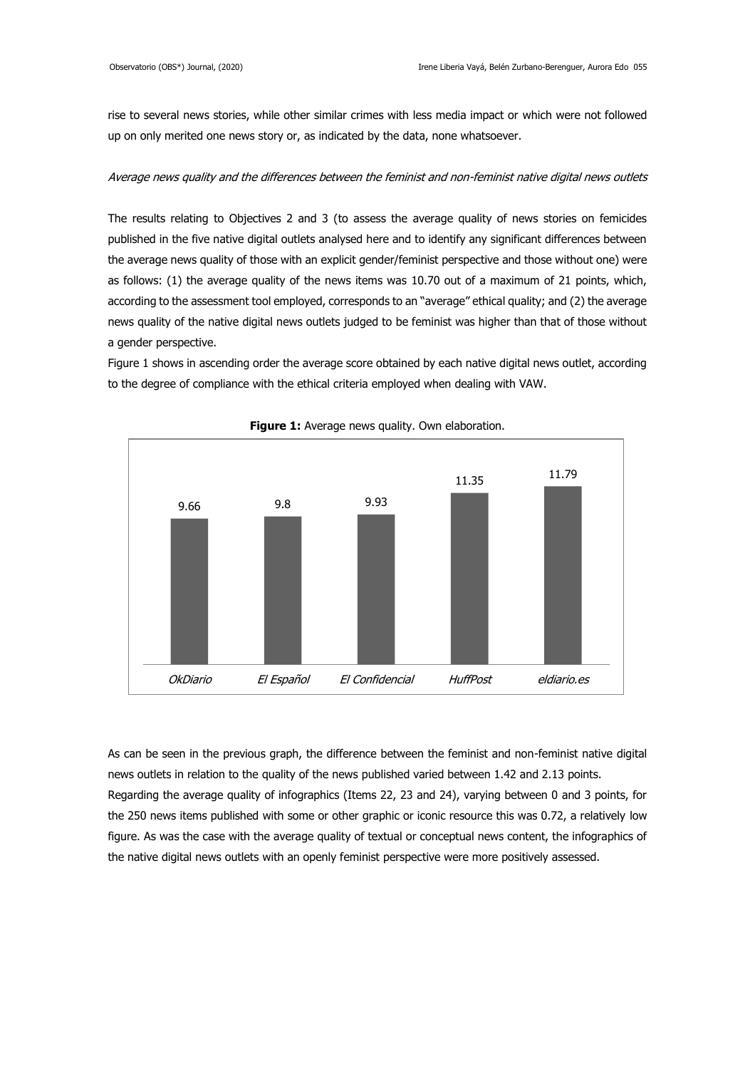rise to several news stories, while other similar crimes with less media impact or which were not followed up on only merited one news story or, as indicated by the data, none whatsoever.

## Average news quality and the differences between the feminist and non-feminist native digital news outlets

The results relating to Objectives 2 and 3 (to assess the average quality of news stories on femicides published in the five native digital outlets analysed here and to identify any significant differences between the average news quality of those with an explicit gender/feminist perspective and those without one) were as follows: (1) the average quality of the news items was 10.70 out of a maximum of 21 points, which, according to the assessment tool employed, corresponds to an "average" ethical quality; and (2) the average news quality of the native digital news outlets judged to be feminist was higher than that of those without a gender perspective.

Figure 1 shows in ascending order the average score obtained by each native digital news outlet, according to the degree of compliance with the ethical criteria employed when dealing with VAW.



**Figure 1:** Average news quality. Own elaboration.

As can be seen in the previous graph, the difference between the feminist and non-feminist native digital news outlets in relation to the quality of the news published varied between 1.42 and 2.13 points. Regarding the average quality of infographics (Items 22, 23 and 24), varying between 0 and 3 points, for the 250 news items published with some or other graphic or iconic resource this was 0.72, a relatively low figure. As was the case with the average quality of textual or conceptual news content, the infographics of the native digital news outlets with an openly feminist perspective were more positively assessed.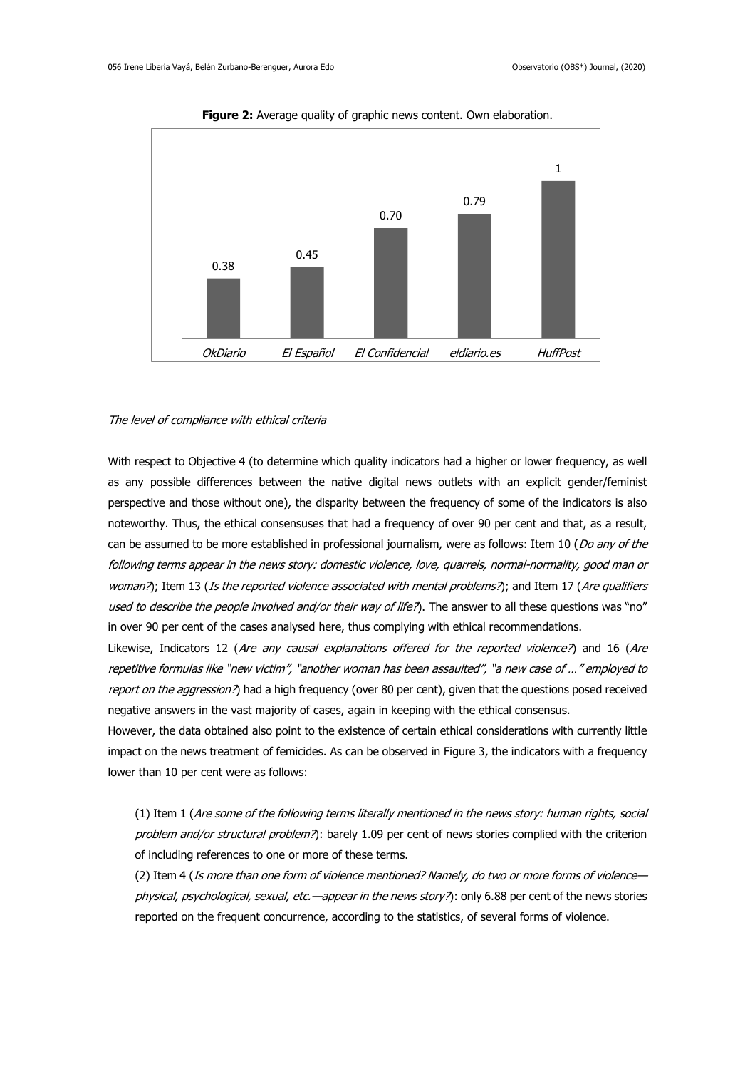

**Figure 2:** Average quality of graphic news content. Own elaboration.

#### The level of compliance with ethical criteria

With respect to Objective 4 (to determine which quality indicators had a higher or lower frequency, as well as any possible differences between the native digital news outlets with an explicit gender/feminist perspective and those without one), the disparity between the frequency of some of the indicators is also noteworthy. Thus, the ethical consensuses that had a frequency of over 90 per cent and that, as a result, can be assumed to be more established in professional journalism, were as follows: Item 10 (Do any of the following terms appear in the news story: domestic violence, love, quarrels, normal-normality, good man or woman?); Item 13 (Is the reported violence associated with mental problems?); and Item 17 (Are qualifiers used to describe the people involved and/or their way of life?). The answer to all these questions was "no" in over 90 per cent of the cases analysed here, thus complying with ethical recommendations.

Likewise, Indicators 12 (Are any causal explanations offered for the reported violence?) and 16 (Are repetitive formulas like "new victim", "another woman has been assaulted", "a new case of …" employed to report on the aggression?) had a high frequency (over 80 per cent), given that the questions posed received negative answers in the vast majority of cases, again in keeping with the ethical consensus.

However, the data obtained also point to the existence of certain ethical considerations with currently little impact on the news treatment of femicides. As can be observed in Figure 3, the indicators with a frequency lower than 10 per cent were as follows:

(1) Item 1 (Are some of the following terms literally mentioned in the news story: human rights, social problem and/or structural problem?): barely 1.09 per cent of news stories complied with the criterion of including references to one or more of these terms.

(2) Item 4 (Is more than one form of violence mentioned? Namely, do two or more forms of violence physical, psychological, sexual, etc.—appear in the news story?): only 6.88 per cent of the news stories reported on the frequent concurrence, according to the statistics, of several forms of violence.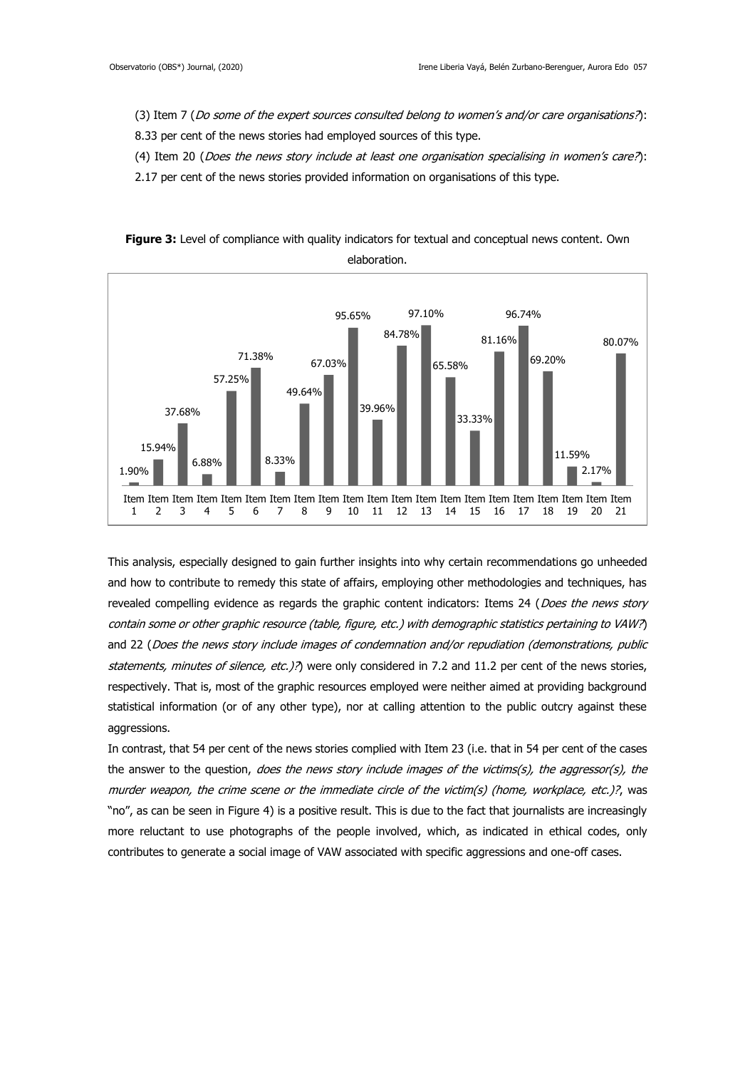1.90%

1  $\overline{\phantom{a}}$ 3 4 5 6 7 8 9 10 11  $12$ 

15.94%

37.68%

6.88%

57.25%

8.33%

49.64%

- (3) Item 7 (Do some of the expert sources consulted belong to women's and/or care organisations?):
- 8.33 per cent of the news stories had employed sources of this type.
- (4) Item 20 (Does the news story include at least one organisation specialising in women's care?):
- 2.17 per cent of the news stories provided information on organisations of this type.



39.96%

Item Item Item Item Item Item Item Item Item Item Item Item Item Item Item Item Item Item Item Item Item

13 14

33.33%

15 16 17 11.59%

18 19 20 21

2.17%

**Figure 3:** Level of compliance with quality indicators for textual and conceptual news content. Own

This analysis, especially designed to gain further insights into why certain recommendations go unheeded and how to contribute to remedy this state of affairs, employing other methodologies and techniques, has revealed compelling evidence as regards the graphic content indicators: Items 24 (Does the news story contain some or other graphic resource (table, figure, etc.) with demographic statistics pertaining to VAW?) and 22 (Does the news story include images of condemnation and/or repudiation (demonstrations, public statements, minutes of silence, etc.)?) were only considered in 7.2 and 11.2 per cent of the news stories, respectively. That is, most of the graphic resources employed were neither aimed at providing background statistical information (or of any other type), nor at calling attention to the public outcry against these aggressions.

In contrast, that 54 per cent of the news stories complied with Item 23 (i.e. that in 54 per cent of the cases the answer to the question, does the news story include images of the victims(s), the aggressor(s), the murder weapon, the crime scene or the immediate circle of the victim(s) (home, workplace, etc.)?, was "no", as can be seen in Figure 4) is a positive result. This is due to the fact that journalists are increasingly more reluctant to use photographs of the people involved, which, as indicated in ethical codes, only contributes to generate a social image of VAW associated with specific aggressions and one-off cases.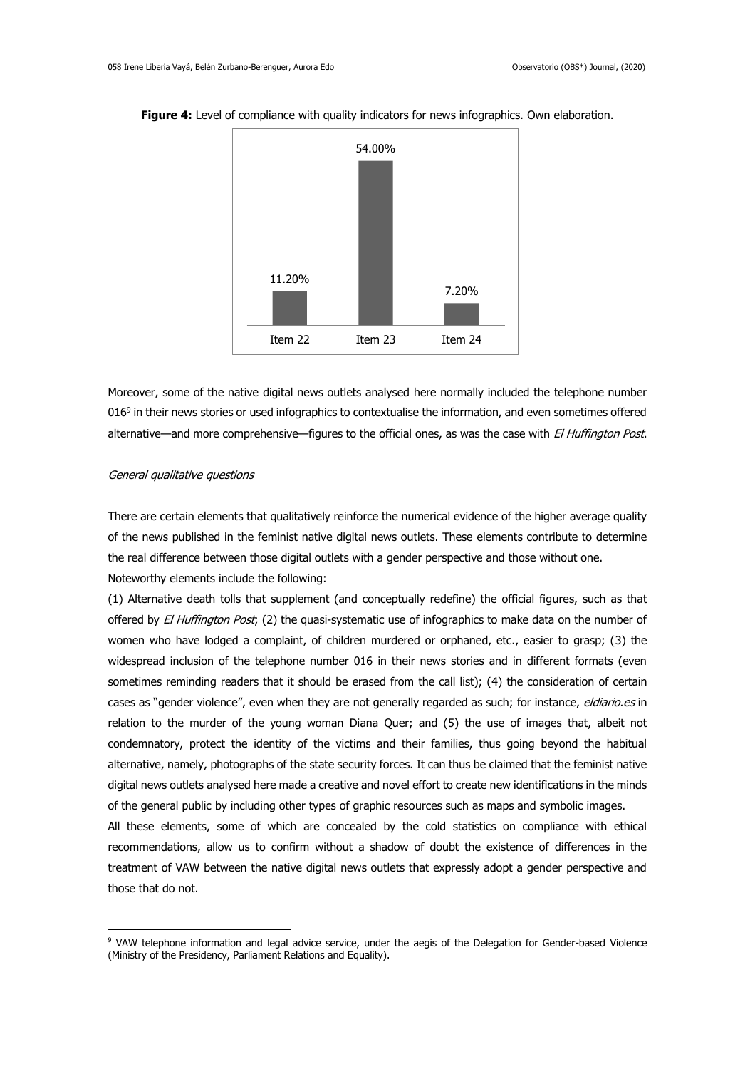

**Figure 4:** Level of compliance with quality indicators for news infographics. Own elaboration.

Moreover, some of the native digital news outlets analysed here normally included the telephone number 016<sup>9</sup> in their news stories or used infographics to contextualise the information, and even sometimes offered alternative—and more comprehensive—figures to the official ones, as was the case with El Huffington Post.

#### General qualitative questions

1

There are certain elements that qualitatively reinforce the numerical evidence of the higher average quality of the news published in the feminist native digital news outlets. These elements contribute to determine the real difference between those digital outlets with a gender perspective and those without one. Noteworthy elements include the following:

(1) Alternative death tolls that supplement (and conceptually redefine) the official figures, such as that offered by El Huffington Post; (2) the quasi-systematic use of infographics to make data on the number of women who have lodged a complaint, of children murdered or orphaned, etc., easier to grasp; (3) the widespread inclusion of the telephone number 016 in their news stories and in different formats (even sometimes reminding readers that it should be erased from the call list); (4) the consideration of certain cases as "gender violence", even when they are not generally regarded as such; for instance, eldiario.es in relation to the murder of the young woman Diana Quer; and (5) the use of images that, albeit not condemnatory, protect the identity of the victims and their families, thus going beyond the habitual alternative, namely, photographs of the state security forces. It can thus be claimed that the feminist native digital news outlets analysed here made a creative and novel effort to create new identifications in the minds of the general public by including other types of graphic resources such as maps and symbolic images.

All these elements, some of which are concealed by the cold statistics on compliance with ethical recommendations, allow us to confirm without a shadow of doubt the existence of differences in the treatment of VAW between the native digital news outlets that expressly adopt a gender perspective and those that do not.

<sup>9</sup> VAW telephone information and legal advice service, under the aegis of the Delegation for Gender-based Violence (Ministry of the Presidency, Parliament Relations and Equality).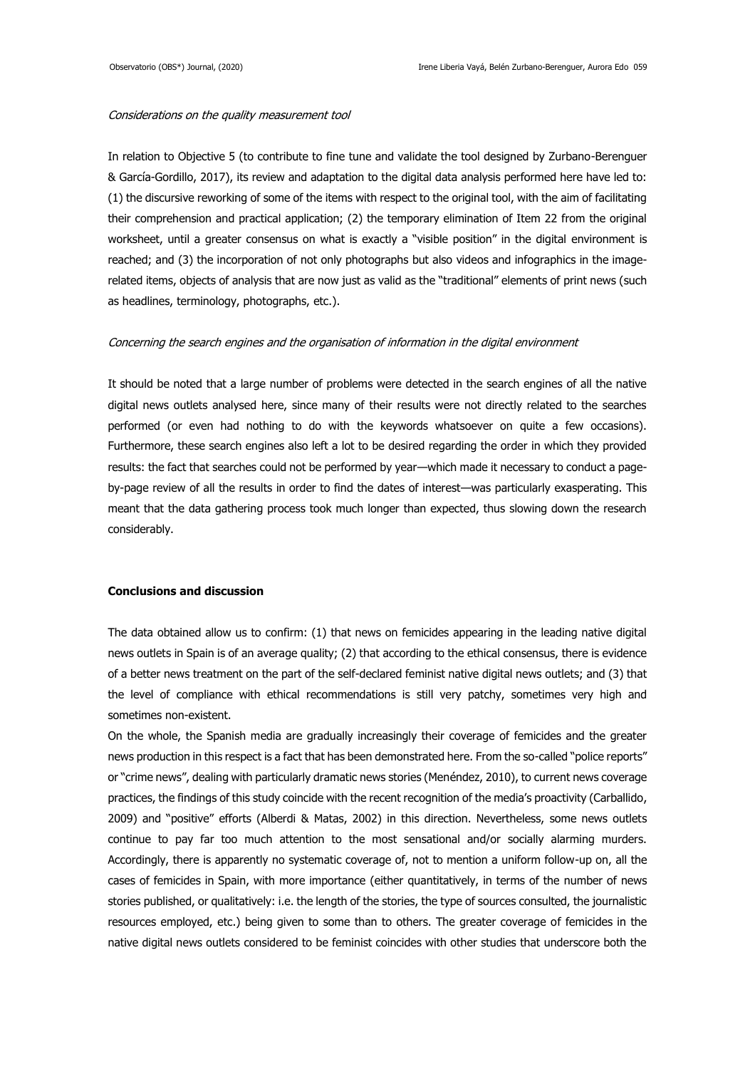## Considerations on the quality measurement tool

In relation to Objective 5 (to contribute to fine tune and validate the tool designed by Zurbano-Berenguer & García-Gordillo, 2017), its review and adaptation to the digital data analysis performed here have led to: (1) the discursive reworking of some of the items with respect to the original tool, with the aim of facilitating their comprehension and practical application; (2) the temporary elimination of Item 22 from the original worksheet, until a greater consensus on what is exactly a "visible position" in the digital environment is reached; and (3) the incorporation of not only photographs but also videos and infographics in the imagerelated items, objects of analysis that are now just as valid as the "traditional" elements of print news (such as headlines, terminology, photographs, etc.).

## Concerning the search engines and the organisation of information in the digital environment

It should be noted that a large number of problems were detected in the search engines of all the native digital news outlets analysed here, since many of their results were not directly related to the searches performed (or even had nothing to do with the keywords whatsoever on quite a few occasions). Furthermore, these search engines also left a lot to be desired regarding the order in which they provided results: the fact that searches could not be performed by year—which made it necessary to conduct a pageby-page review of all the results in order to find the dates of interest—was particularly exasperating. This meant that the data gathering process took much longer than expected, thus slowing down the research considerably.

## **Conclusions and discussion**

The data obtained allow us to confirm: (1) that news on femicides appearing in the leading native digital news outlets in Spain is of an average quality; (2) that according to the ethical consensus, there is evidence of a better news treatment on the part of the self-declared feminist native digital news outlets; and (3) that the level of compliance with ethical recommendations is still very patchy, sometimes very high and sometimes non-existent.

On the whole, the Spanish media are gradually increasingly their coverage of femicides and the greater news production in this respect is a fact that has been demonstrated here. From the so-called "police reports" or "crime news", dealing with particularly dramatic news stories (Menéndez, 2010), to current news coverage practices, the findings of this study coincide with the recent recognition of the media's proactivity (Carballido, 2009) and "positive" efforts (Alberdi & Matas, 2002) in this direction. Nevertheless, some news outlets continue to pay far too much attention to the most sensational and/or socially alarming murders. Accordingly, there is apparently no systematic coverage of, not to mention a uniform follow-up on, all the cases of femicides in Spain, with more importance (either quantitatively, in terms of the number of news stories published, or qualitatively: i.e. the length of the stories, the type of sources consulted, the journalistic resources employed, etc.) being given to some than to others. The greater coverage of femicides in the native digital news outlets considered to be feminist coincides with other studies that underscore both the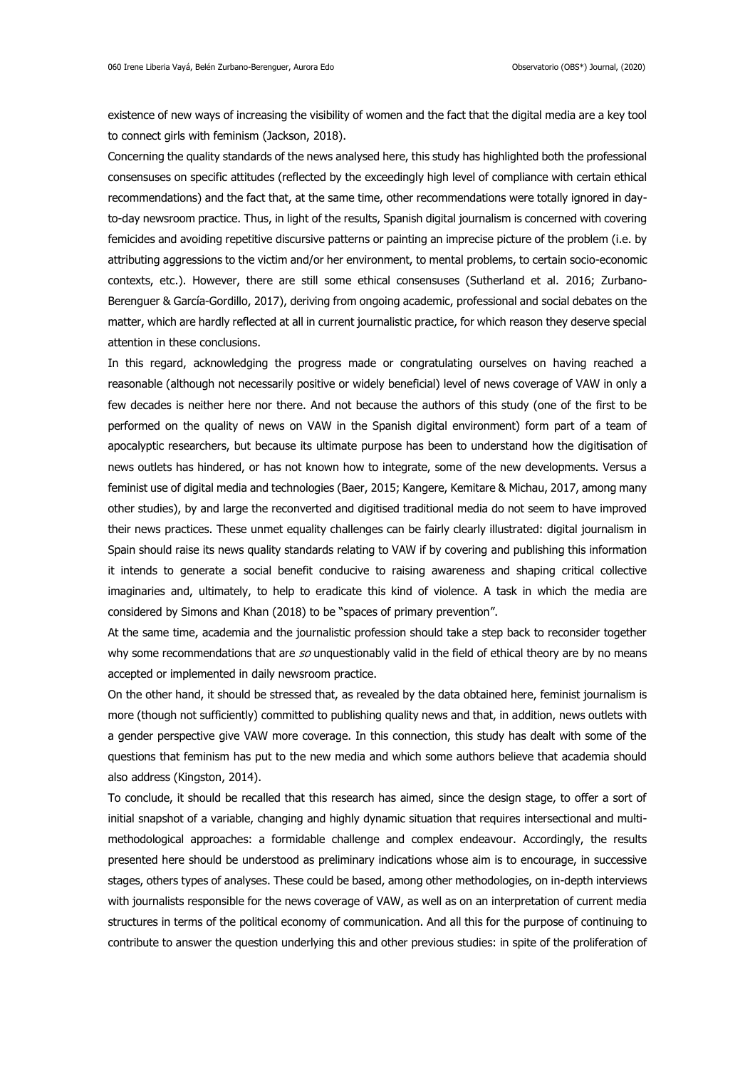existence of new ways of increasing the visibility of women and the fact that the digital media are a key tool to connect girls with feminism (Jackson, 2018).

Concerning the quality standards of the news analysed here, this study has highlighted both the professional consensuses on specific attitudes (reflected by the exceedingly high level of compliance with certain ethical recommendations) and the fact that, at the same time, other recommendations were totally ignored in dayto-day newsroom practice. Thus, in light of the results, Spanish digital journalism is concerned with covering femicides and avoiding repetitive discursive patterns or painting an imprecise picture of the problem (i.e. by attributing aggressions to the victim and/or her environment, to mental problems, to certain socio-economic contexts, etc.). However, there are still some ethical consensuses (Sutherland et al. 2016; Zurbano-Berenguer & García-Gordillo, 2017), deriving from ongoing academic, professional and social debates on the matter, which are hardly reflected at all in current journalistic practice, for which reason they deserve special attention in these conclusions.

In this regard, acknowledging the progress made or congratulating ourselves on having reached a reasonable (although not necessarily positive or widely beneficial) level of news coverage of VAW in only a few decades is neither here nor there. And not because the authors of this study (one of the first to be performed on the quality of news on VAW in the Spanish digital environment) form part of a team of apocalyptic researchers, but because its ultimate purpose has been to understand how the digitisation of news outlets has hindered, or has not known how to integrate, some of the new developments. Versus a feminist use of digital media and technologies (Baer, 2015; Kangere, Kemitare & Michau, 2017, among many other studies), by and large the reconverted and digitised traditional media do not seem to have improved their news practices. These unmet equality challenges can be fairly clearly illustrated: digital journalism in Spain should raise its news quality standards relating to VAW if by covering and publishing this information it intends to generate a social benefit conducive to raising awareness and shaping critical collective imaginaries and, ultimately, to help to eradicate this kind of violence. A task in which the media are considered by Simons and Khan (2018) to be "spaces of primary prevention".

At the same time, academia and the journalistic profession should take a step back to reconsider together why some recommendations that are  $so$  unquestionably valid in the field of ethical theory are by no means accepted or implemented in daily newsroom practice.

On the other hand, it should be stressed that, as revealed by the data obtained here, feminist journalism is more (though not sufficiently) committed to publishing quality news and that, in addition, news outlets with a gender perspective give VAW more coverage. In this connection, this study has dealt with some of the questions that feminism has put to the new media and which some authors believe that academia should also address (Kingston, 2014).

To conclude, it should be recalled that this research has aimed, since the design stage, to offer a sort of initial snapshot of a variable, changing and highly dynamic situation that requires intersectional and multimethodological approaches: a formidable challenge and complex endeavour. Accordingly, the results presented here should be understood as preliminary indications whose aim is to encourage, in successive stages, others types of analyses. These could be based, among other methodologies, on in-depth interviews with journalists responsible for the news coverage of VAW, as well as on an interpretation of current media structures in terms of the political economy of communication. And all this for the purpose of continuing to contribute to answer the question underlying this and other previous studies: in spite of the proliferation of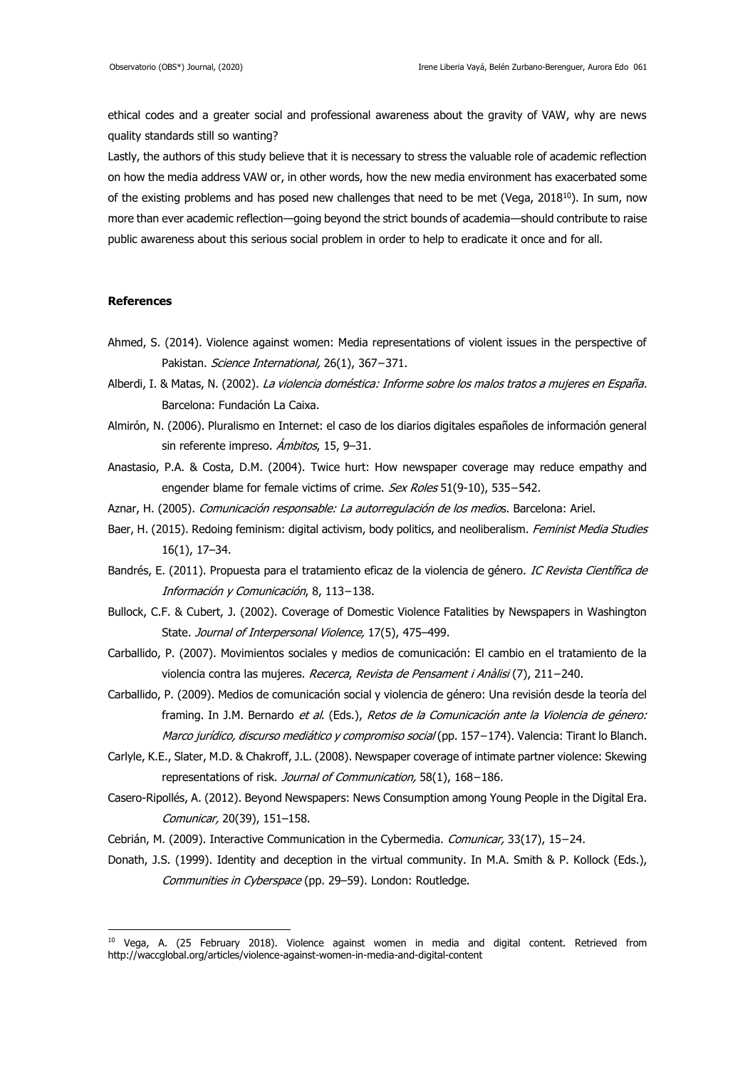ethical codes and a greater social and professional awareness about the gravity of VAW, why are news quality standards still so wanting?

Lastly, the authors of this study believe that it is necessary to stress the valuable role of academic reflection on how the media address VAW or, in other words, how the new media environment has exacerbated some of the existing problems and has posed new challenges that need to be met (Vega, 2018 $^{10}$ ). In sum, now more than ever academic reflection—going beyond the strict bounds of academia—should contribute to raise public awareness about this serious social problem in order to help to eradicate it once and for all.

### **References**

1

- Ahmed, S. (2014). Violence against women: Media representations of violent issues in the perspective of Pakistan. Science International, 26(1), 367−371.
- Alberdi, I. & Matas, N. (2002). La violencia doméstica: Informe sobre los malos tratos a mujeres en España. Barcelona: Fundación La Caixa.
- Almirón, N. (2006). Pluralismo en Internet: el caso de los diarios digitales españoles de información general sin referente impreso. *Ámbitos*, 15, 9-31.
- Anastasio, P.A. & Costa, D.M. (2004). Twice hurt: How newspaper coverage may reduce empathy and engender blame for female victims of crime. Sex Roles 51(9-10), 535–542.
- Aznar, H. (2005). Comunicación responsable: La autorregulación de los medios. Barcelona: Ariel.
- Baer, H. (2015). Redoing feminism: digital activism, body politics, and neoliberalism. Feminist Media Studies 16(1), 17–34.
- Bandrés, E. (2011). Propuesta para el tratamiento eficaz de la violencia de género. IC Revista Científica de Información y Comunicación, 8, 113−138.
- Bullock, C.F. & Cubert, J. (2002). Coverage of Domestic Violence Fatalities by Newspapers in Washington State. Journal of Interpersonal Violence, 17(5), 475-499.
- Carballido, P. (2007). Movimientos sociales y medios de comunicación: El cambio en el tratamiento de la violencia contra las mujeres. Recerca, Revista de Pensament i Anàlisi (7), 211−240.
- Carballido, P. (2009). Medios de comunicación social y violencia de género: Una revisión desde la teoría del framing. In J.M. Bernardo et al. (Eds.), Retos de la Comunicación ante la Violencia de género: Marco jurídico, discurso mediático y compromiso social (pp. 157-174). Valencia: Tirant lo Blanch.
- Carlyle, K.E., Slater, M.D. & Chakroff, J.L. (2008). Newspaper coverage of intimate partner violence: Skewing representations of risk. Journal of Communication, 58(1), 168−186.
- Casero-Ripollés, A. (2012). Beyond Newspapers: News Consumption among Young People in the Digital Era. Comunicar, 20(39), 151–158.
- Cebrián, M. (2009). Interactive Communication in the Cybermedia. Comunicar, 33(17), 15−24.
- Donath, J.S. (1999). Identity and deception in the virtual community. In M.A. Smith & P. Kollock (Eds.), Communities in Cyberspace (pp. 29–59). London: Routledge.

<sup>&</sup>lt;sup>10</sup> Vega, A. (25 February 2018). Violence against women in media and digital content. Retrieved from <http://waccglobal.org/articles/violence-against-women-in-media-and-digital-content>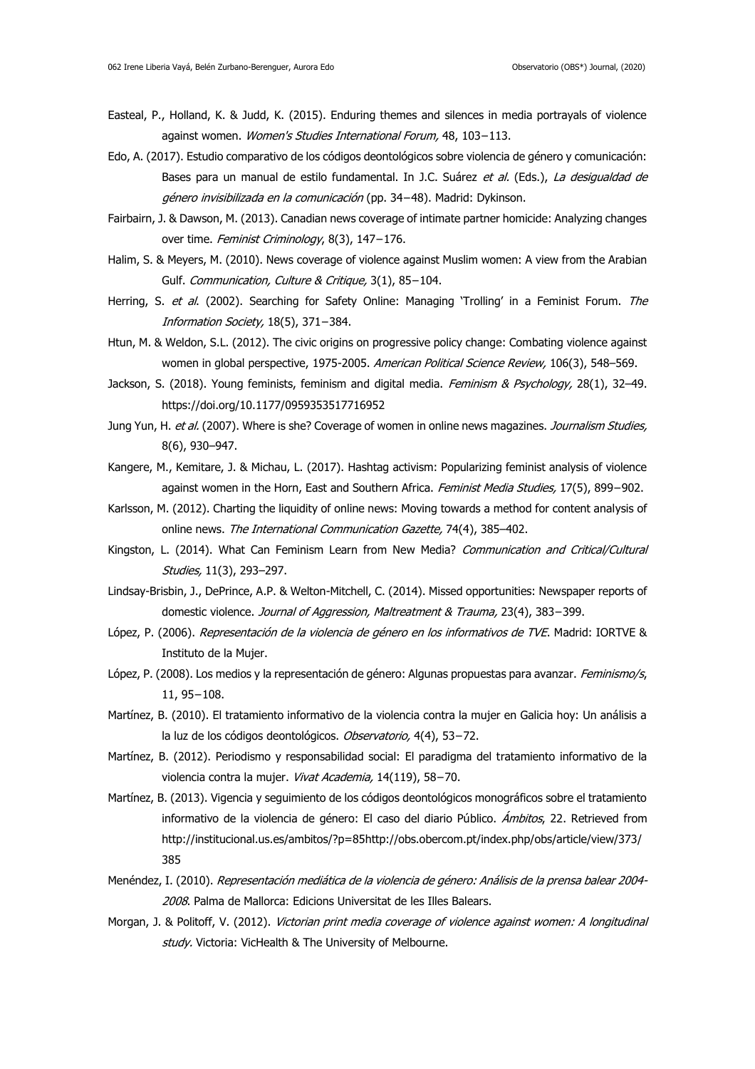- Easteal, P., Holland, K. & Judd, K. (2015). Enduring themes and silences in media portrayals of violence against women. Women's Studies International Forum, 48, 103−113.
- Edo, A. (2017). Estudio comparativo de los códigos deontológicos sobre violencia de género y comunicación: Bases para un manual de estilo fundamental. In J.C. Suárez et al. (Eds.), La desigualdad de género invisibilizada en la comunicación (pp. 34−48). Madrid: Dykinson.
- Fairbairn, J. & Dawson, M. (2013). Canadian news coverage of intimate partner homicide: Analyzing changes over time. Feminist Criminology, 8(3), 147−176.
- Halim, S. & Meyers, M. (2010). News coverage of violence against Muslim women: A view from the Arabian Gulf. Communication, Culture & Critique, 3(1), 85−104.
- Herring, S. et al. (2002). Searching for Safety Online: Managing 'Trolling' in a Feminist Forum. The Information Society, 18(5), 371−384.
- Htun, M. & Weldon, S.L. (2012). The civic origins on progressive policy change: Combating violence against women in global perspective, 1975-2005. American Political Science Review, 106(3), 548-569.
- Jackson, S. (2018). Young feminists, feminism and digital media. Feminism & Psychology, 28(1), 32-49. <https://doi.org/10.1177/0959353517716952>
- Jung Yun, H. et al. (2007). Where is she? Coverage of women in online news magazines. Journalism Studies, 8(6), 930–947.
- Kangere, M., Kemitare, J. & Michau, L. (2017). Hashtag activism: Popularizing feminist analysis of violence against women in the Horn, East and Southern Africa. Feminist Media Studies, 17(5), 899−902.
- Karlsson, M. (2012). Charting the liquidity of online news: Moving towards a method for content analysis of online news. The International Communication Gazette, 74(4), 385-402.
- Kingston, L. (2014). What Can Feminism Learn from New Media? Communication and Critical/Cultural Studies, 11(3), 293–297.
- Lindsay-Brisbin, J., DePrince, A.P. & Welton-Mitchell, C. (2014). Missed opportunities: Newspaper reports of domestic violence. Journal of Aggression, Maltreatment & Trauma, 23(4), 383−399.
- López, P. (2006). Representación de la violencia de género en los informativos de TVE. Madrid: IORTVE & Instituto de la Mujer.
- López, P. (2008). Los medios y la representación de género: Algunas propuestas para avanzar. Feminismo/s, 11, 95−108.
- Martínez, B. (2010). El tratamiento informativo de la violencia contra la mujer en Galicia hoy: Un análisis a la luz de los códigos deontológicos. Observatorio, 4(4), 53−72.
- Martínez, B. (2012). Periodismo y responsabilidad social: El paradigma del tratamiento informativo de la violencia contra la mujer. Vivat Academia, 14(119), 58−70.
- Martínez, B. (2013). Vigencia y seguimiento de los códigos deontológicos monográficos sobre el tratamiento informativo de la violencia de género: El caso del diario Público. *Ámbitos*, 22. Retrieved from [http://institucional.us.es/ambitos/?p=85http://obs.obercom.pt/index.php/obs/article/view/373/](http://institucional.us.es/ambitos/?p=85) [385](http://obs.obercom.pt/index.php/obs/article/view/373/385)
- Menéndez, I. (2010). Representación mediática de la violencia de género: Análisis de la prensa balear 2004-2008. Palma de Mallorca: Edicions Universitat de les Illes Balears.
- Morgan, J. & Politoff, V. (2012). Victorian print media coverage of violence against women: A longitudinal study. Victoria: VicHealth & The University of Melbourne.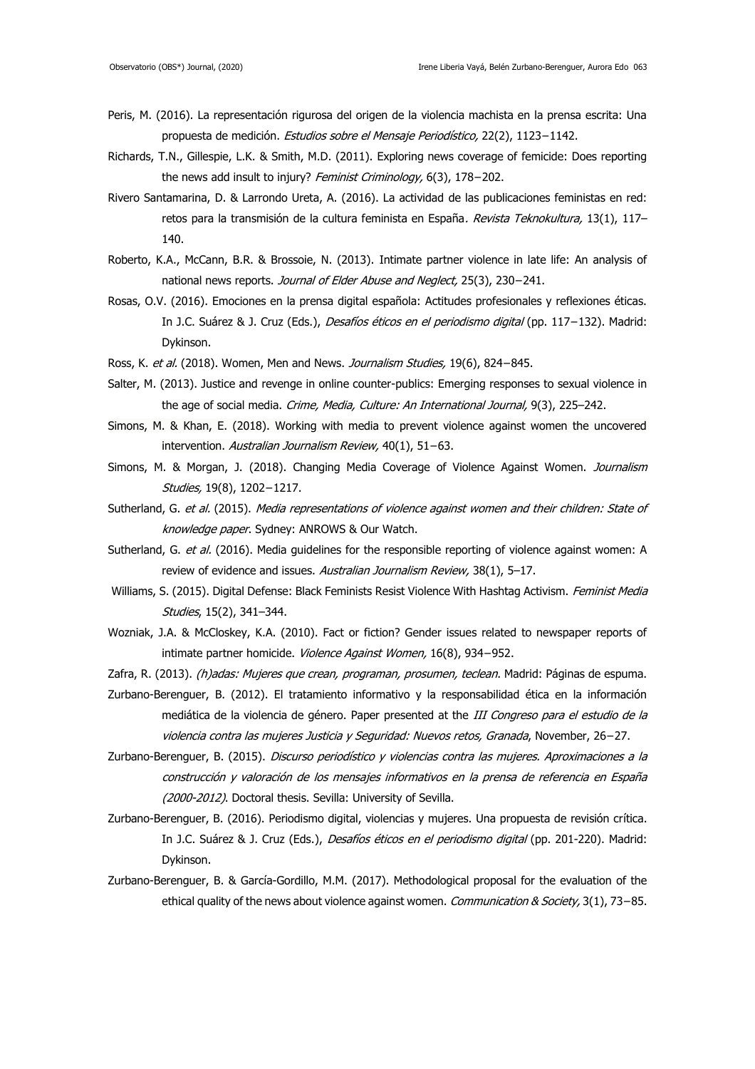- Peris, M. (2016). La representación rigurosa del origen de la violencia machista en la prensa escrita: Una propuesta de medición. Estudios sobre el Mensaje Periodístico, 22(2), 1123−1142.
- Richards, T.N., Gillespie, L.K. & Smith, M.D. (2011). Exploring news coverage of femicide: Does reporting the news add insult to injury? Feminist Criminology, 6(3), 178−202.
- Rivero Santamarina, D. & Larrondo Ureta, A. (2016). La actividad de las publicaciones feministas en red: retos para la transmisión de la cultura feminista en España. Revista Teknokultura, 13(1), 117-140.
- Roberto, K.A., McCann, B.R. & Brossoie, N. (2013). Intimate partner violence in late life: An analysis of national news reports. Journal of Elder Abuse and Neglect, 25(3), 230-241.
- Rosas, O.V. (2016). Emociones en la prensa digital española: Actitudes profesionales y reflexiones éticas. In J.C. Suárez & J. Cruz (Eds.), Desafíos éticos en el periodismo digital (pp. 117−132). Madrid: Dykinson.
- Ross, K. et al. (2018). Women, Men and News. Journalism Studies, 19(6), 824-845.
- Salter, M. (2013). Justice and revenge in online counter-publics: Emerging responses to sexual violence in the age of social media. Crime, Media, Culture: An International Journal, 9(3), 225-242.
- Simons, M. & Khan, E. (2018). Working with media to prevent violence against women the uncovered intervention. Australian Journalism Review, 40(1), 51−63.
- Simons, M. & Morgan, J. (2018). Changing Media Coverage of Violence Against Women. Journalism Studies, 19(8), 1202−1217.
- Sutherland, G. et al. (2015). Media representations of violence against women and their children: State of knowledge paper. Sydney: ANROWS & Our Watch.
- Sutherland, G. et al. (2016). Media quidelines for the responsible reporting of violence against women: A review of evidence and issues. Australian Journalism Review, 38(1), 5-17.
- Williams, S. (2015). Digital Defense: Black Feminists Resist Violence With Hashtag Activism. Feminist Media Studies, 15(2), 341–344.
- Wozniak, J.A. & McCloskey, K.A. (2010). Fact or fiction? Gender issues related to newspaper reports of intimate partner homicide. Violence Against Women, 16(8), 934−952.
- Zafra, R. (2013). (h)adas: Mujeres que crean, programan, prosumen, teclean. Madrid: Páginas de espuma.
- Zurbano-Berenguer, B. (2012). El tratamiento informativo y la responsabilidad ética en la información mediática de la violencia de género. Paper presented at the III Congreso para el estudio de la violencia contra las mujeres Justicia y Seguridad: Nuevos retos, Granada, November, 26−27.
- Zurbano-Berenguer, B. (2015). Discurso periodístico y violencias contra las mujeres. Aproximaciones a la construcción y valoración de los mensajes informativos en la prensa de referencia en España (2000-2012). Doctoral thesis. Sevilla: University of Sevilla.
- Zurbano-Berenguer, B. (2016). Periodismo digital, violencias y mujeres. Una propuesta de revisión crítica. In J.C. Suárez & J. Cruz (Eds.), Desafíos éticos en el periodismo digital (pp. 201-220). Madrid: Dykinson.
- Zurbano-Berenguer, B. & García-Gordillo, M.M. (2017). Methodological proposal for the evaluation of the ethical quality of the news about violence against women. Communication & Society, 3(1), 73–85.